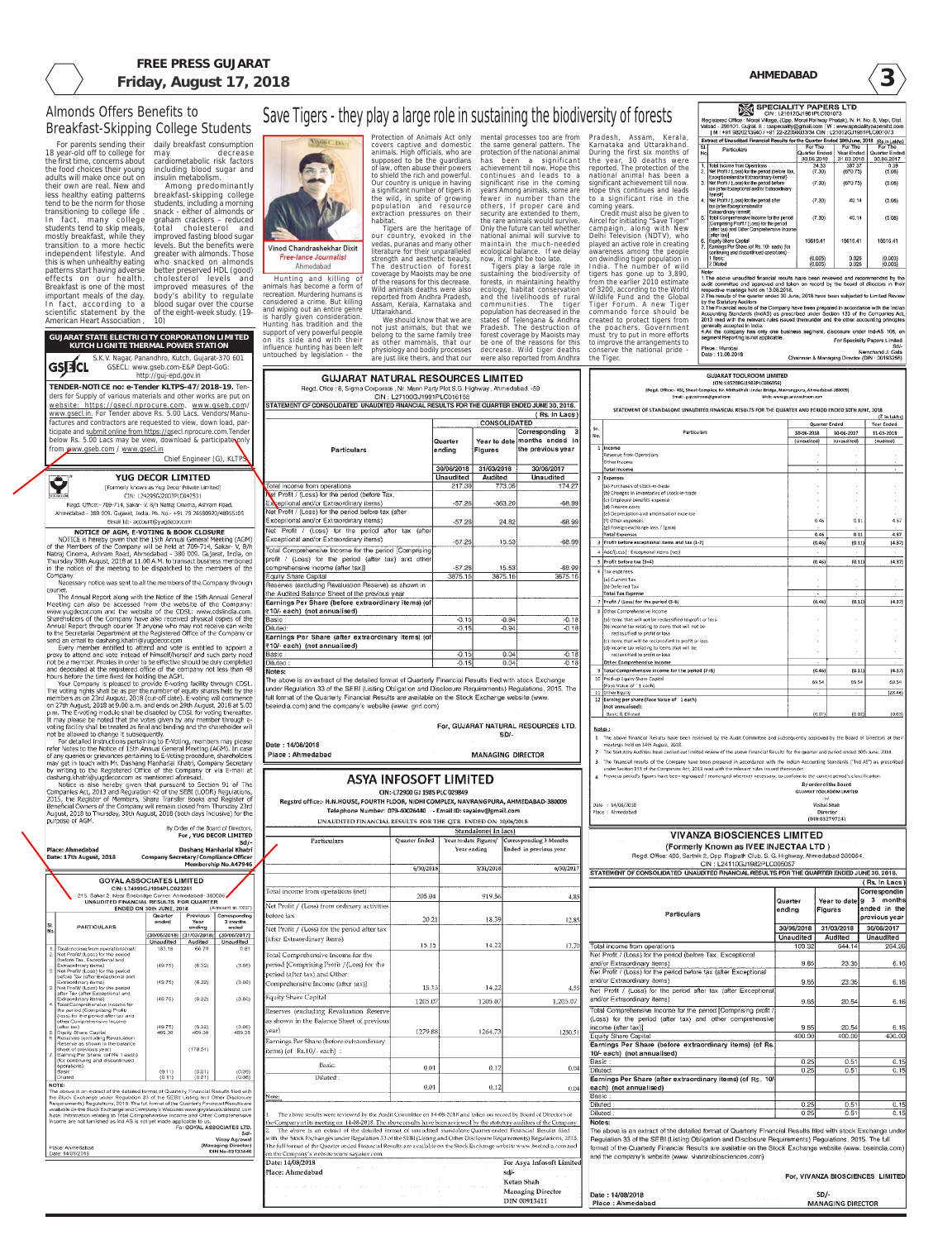SPECIALITY PAPERS LTD CIN: L21012GJ1961PLC001073

**3**

#### **GUJARAT TOOLROOM LIMITED** (CIN::L45208G11983PLC006056V

Date: 13.08.2018

(Regd. Office:- 402, Sheel Complex, Nr. Mithakhali Under Bridge, Navrangpura, Ahmedabad-380009) Ernail:- guitooiroom@gmail.com Web:-www.gujarattoolroom.com

#### **FREE PRESS GUJARAT Friday, August 17, 2018 AHMEDABAD**

| www.gsecl.in. For Tender above Rs. 5.00 Lacs. Vendors/Manu-                                                                                                                  | website: https://gsecl.nprocure.com, www.gseb.com |                       |                                                               | STATEMENT OF CONSOLIDATED UNAUDITED FINANCIAL RESULTS FOR THE QUARTER ENDED JUNE 30, 2018.                                                                                                                                             |                                |                    |                          | (Rs. In Lacs                                                           |            | STATEMENT OF STANDALONE UNAUDITED FINANCIAL RESULTS FOR THE QUARTER AND PERIOD ENDED 30TH JUNE, 2018                                                                                                                                |                  |                                                          |                                                                 |
|------------------------------------------------------------------------------------------------------------------------------------------------------------------------------|---------------------------------------------------|-----------------------|---------------------------------------------------------------|----------------------------------------------------------------------------------------------------------------------------------------------------------------------------------------------------------------------------------------|--------------------------------|--------------------|--------------------------|------------------------------------------------------------------------|------------|-------------------------------------------------------------------------------------------------------------------------------------------------------------------------------------------------------------------------------------|------------------|----------------------------------------------------------|-----------------------------------------------------------------|
| factures and contractors are requested to view, down load, par-                                                                                                              |                                                   |                       |                                                               |                                                                                                                                                                                                                                        |                                |                    | <b>CONSOLIDATED</b>      |                                                                        |            |                                                                                                                                                                                                                                     |                  | Quarter Ended                                            | (₹ in lakhs)<br>Year Ended                                      |
| ticipate and submit online from https://gsecl.nprocure.com.Tender                                                                                                            |                                                   |                       |                                                               |                                                                                                                                                                                                                                        |                                |                    |                          | Corresponding                                                          | Sr.<br>No. | Particulars                                                                                                                                                                                                                         | 30-06-2018       | 30-06-2017                                               | 31-03-2018                                                      |
| below Rs. 5.00 Lacs may be view, download & participate only<br>from www.gseb.com / www.gsecl.in                                                                             |                                                   |                       |                                                               | <b>Particulars</b>                                                                                                                                                                                                                     |                                | Quarter<br>ending  | Figures                  | Year to date months ended in<br>the previous year                      |            | 1 Income                                                                                                                                                                                                                            | (Unaudited)      | (Unaudited)                                              | (Audited)                                                       |
|                                                                                                                                                                              |                                                   |                       | Chief Engineer (G), KLTPS                                     |                                                                                                                                                                                                                                        |                                |                    |                          |                                                                        |            | Revenue from Operations<br>Other Income                                                                                                                                                                                             |                  |                                                          |                                                                 |
|                                                                                                                                                                              |                                                   |                       |                                                               |                                                                                                                                                                                                                                        |                                | 30/06/2018         | 31/03/2018               | 30/06/2017                                                             |            | Total Income                                                                                                                                                                                                                        |                  | $\sim$<br>$\sim$                                         | $\sim$ $-$                                                      |
| $\boldsymbol{\Theta}^*$                                                                                                                                                      | <b>YUG DECOR LIMITED</b>                          |                       |                                                               |                                                                                                                                                                                                                                        |                                | <b>Unaudited</b>   | Audited                  | <b>Unaudited</b>                                                       |            | 2 Expenses                                                                                                                                                                                                                          |                  |                                                          |                                                                 |
| [Formerly known as Yug Decor Private Limited]                                                                                                                                | CIN: L24295GJ2003PLC042531                        |                       |                                                               | Total income from operations<br>Net Profit / (Loss) for the period (before Tax,                                                                                                                                                        |                                | 217.39             | 773.05                   | 174.27                                                                 |            | (a) Purchases of stock-in-trade<br>(b) Changes in inventories of stock-in-trade                                                                                                                                                     |                  |                                                          |                                                                 |
| Regd. Office: - 709-714, Sakar- V, B/h Natraj Cinema, Ashram Road,                                                                                                           |                                                   |                       |                                                               | Exceptional and/or Extraordinary items)                                                                                                                                                                                                |                                | $-57.26$           | $-363.20$                | $-68.99$                                                               |            | (c) Employee benefits expense<br>(d) Finance costs                                                                                                                                                                                  |                  |                                                          |                                                                 |
| Ahmedabad - 380 009. Gujarat, India. Ph. No.- +91 79 26580920/48955109                                                                                                       |                                                   |                       |                                                               | Net Profit / (Loss) for the period before tax (after                                                                                                                                                                                   |                                |                    |                          |                                                                        |            | (e) Depreciation and amortisation expense                                                                                                                                                                                           |                  |                                                          |                                                                 |
| Email Id:- account@yugdecor.com                                                                                                                                              |                                                   |                       |                                                               | Exceptional and/or Extraordinary items)                                                                                                                                                                                                |                                | $-57.26$           | 24.82                    | $-68.99$                                                               |            | (f) Other expenses<br>(g) Foreign exchange loss / (gain)                                                                                                                                                                            |                  | 0.11<br>0.46                                             | 4.37                                                            |
| <b>NOTICE OF AGM, E-VOTING &amp; BOOK CLOSURE</b><br>NOTICE is hereby given that the 15th Annual General Meeting (AGM)                                                       |                                                   |                       |                                                               | Net Profit / (Loss) for the period after tax (after<br>Exceptional and/or Extraordinary items)                                                                                                                                         |                                |                    |                          |                                                                        |            | Total Expenses                                                                                                                                                                                                                      |                  | 0.46<br>0.11                                             | 4.37                                                            |
| of the Members of the Company will be held at 709-714, Sakar- V, B/h                                                                                                         |                                                   |                       |                                                               | Total Comprehensive Income for the period [Comprising]                                                                                                                                                                                 |                                | $-57.26$           | 15.53                    | $-68.99$                                                               |            | $3$ Profit before exceptional items and tax $(1-2)$<br>4 Add/(Less) : Exceptional items (net)                                                                                                                                       |                  | (0.46)<br>(0.11)                                         | (4.37)                                                          |
| Natraj Cinema, Ashram Road, Ahmedabad - 380 009. Gujarat, India, on<br>Thursday 30th August, 2018 at 11.00 A.M. to transact business mentioned                               |                                                   |                       |                                                               | profit / (Loss) for the period (after tax) and other                                                                                                                                                                                   |                                |                    |                          |                                                                        |            | 5 Profit before tax (3+4)                                                                                                                                                                                                           |                  | (0.46)<br>(0.11)                                         | (4.37)                                                          |
| In the notice of the meeting to be dispatched to the members of the                                                                                                          |                                                   |                       |                                                               | comprehensive income (after tax)]                                                                                                                                                                                                      |                                | $-57.26$           | 15.53                    | $-68.99$                                                               |            | 6 Tax expenses                                                                                                                                                                                                                      |                  |                                                          |                                                                 |
| Company.<br>Necessary notice was sent to all the members of the Company through                                                                                              |                                                   |                       |                                                               | Equity Share Capital<br>Reserves (excluding Revaluation Reserve) as shown in                                                                                                                                                           |                                | 3875.16            | 3875.16                  | 3875.16                                                                |            | (a) Current Tax<br>(b) Deferred Tax                                                                                                                                                                                                 |                  |                                                          |                                                                 |
| courier.                                                                                                                                                                     |                                                   |                       |                                                               | the Audited Balance Sheet of the previous year                                                                                                                                                                                         |                                |                    |                          |                                                                        |            | Total Tax Expense                                                                                                                                                                                                                   |                  | $\sim$<br>$\sim 10^{-1}$                                 | $\mathcal{L}$                                                   |
| The Annual Report along with the Notice of the 15th Annual General<br>Meeting can also be accessed from the website of the Company:                                          |                                                   |                       |                                                               | Earnings Per Share (before extraordinary items) (of                                                                                                                                                                                    |                                |                    |                          |                                                                        |            | 7 Profit / (Loss) for the period (5-6)                                                                                                                                                                                              |                  | (0.46)<br>(0.11)                                         | (4.37)                                                          |
| www.yugdecor.com and the website of the CDSL: www.cdslindia.com.<br>Shareholders of the Company have also received physical copies of the                                    |                                                   |                       |                                                               | ₹10/-each) (not annualised)                                                                                                                                                                                                            |                                |                    |                          |                                                                        |            | 8 Other Comprehensive Income<br>(a) Items that will not be reclassified to profit or loss                                                                                                                                           |                  |                                                          |                                                                 |
| Annual Report through courier. If anyone who may not receive can write                                                                                                       |                                                   |                       |                                                               | Basic :<br>Diluted:                                                                                                                                                                                                                    |                                | $-0.15$<br>$-0.15$ | $-0.94$<br>$-0.94$       | $-0.16$<br>$-0.18$                                                     |            | (b) income tax relating to items that will not be                                                                                                                                                                                   |                  |                                                          |                                                                 |
| to the Secretarial Department at the Registered Office of the Company or<br>send an email to dashang.khatri@yugdecor.com                                                     |                                                   |                       |                                                               | Earnings Per Share (after extraordinary items) (of                                                                                                                                                                                     |                                |                    |                          |                                                                        |            | reclassified to profit or loss<br>(c) Items that will be reclassified to profit or loss                                                                                                                                             |                  |                                                          |                                                                 |
| Every member entitled to attend and vote is entitled to appoint a                                                                                                            |                                                   |                       |                                                               | ₹10/-each) (not annualised)                                                                                                                                                                                                            |                                |                    |                          |                                                                        |            | (d) income tax relating to items that will be                                                                                                                                                                                       |                  |                                                          |                                                                 |
| proxy to attend and vote instead of himself/herself and such party need<br>not be a member. Proxies in order to be effective should be duly completed                        |                                                   |                       |                                                               | Basic :<br>Diluted:                                                                                                                                                                                                                    |                                | $-0.15$<br>$-0.15$ | 0.04<br>0.04             | $-0.16$<br>$-0.18$                                                     |            | reclassified to profit or loss<br><b>Other Comprehensive Income</b>                                                                                                                                                                 |                  |                                                          |                                                                 |
| and deposited at the registered office of the company not less than 48                                                                                                       |                                                   |                       |                                                               | Notes:                                                                                                                                                                                                                                 |                                |                    |                          |                                                                        |            | 9 Total Comprehensive income for the period (7+8)                                                                                                                                                                                   |                  | (0.46)<br>(0.11)                                         | (4.37)                                                          |
| hours before the time fixed for holding the AGM.<br>Your Company is pleased to provide E-voting facility through CDSL                                                        |                                                   |                       |                                                               | The above is an extract of the detailed format of Quarterly Financial Results filed with stock Exchange                                                                                                                                |                                |                    |                          |                                                                        |            | 10 Paid-up Equity Share Capital                                                                                                                                                                                                     |                  | 69.54<br>69.54                                           | 69.54                                                           |
| The voting rights shall be as per the number of equity shares held by the                                                                                                    |                                                   |                       |                                                               | under Regulation 33 of the SEBI (Listing Obligation and Disclosure Requirements) Regulations, 2015. The                                                                                                                                |                                |                    |                          |                                                                        |            | Face Value of 1 each)<br>11 Other Equity                                                                                                                                                                                            |                  |                                                          | (28.46)                                                         |
| members as on 23rd August, 2018 (cut-off date). E-voting will commence<br>on 27th August, 2018 at 9.00 a.m. and ends on 29th August, 2018 at 5.00                            |                                                   |                       |                                                               | full format of the Quarterly Financial Results are available on the Stock Exchange website (www.<br>bseindia.com) and the company's website (www. gnrl.com)                                                                            |                                |                    |                          |                                                                        |            | 12 Earning per share (Face Value of 1 each)<br>(not annualised):                                                                                                                                                                    |                  |                                                          |                                                                 |
| p.m. The E-voting module shall be disabled by CDSL for voting thereafter.                                                                                                    |                                                   |                       |                                                               |                                                                                                                                                                                                                                        |                                |                    |                          |                                                                        |            | <b>Basic &amp; Diluted</b>                                                                                                                                                                                                          |                  | ${0.07}$<br>(0.02)                                       | (0.63)                                                          |
| It may please be noted that the votes given by any member through e-<br>voting facility shall be treated as final and binding and the shareholder will                       |                                                   |                       |                                                               |                                                                                                                                                                                                                                        |                                |                    |                          | For, GUJARAT NATURAL RESOURCES LTD.                                    |            |                                                                                                                                                                                                                                     |                  |                                                          |                                                                 |
| not be allowed to change it subsequently.                                                                                                                                    |                                                   |                       |                                                               |                                                                                                                                                                                                                                        |                                |                    | SD/-                     |                                                                        | Notes:     | 1 The above Financial Results have been reviewed by the Audit Committee and subsequently approved by the Board of Directors at their                                                                                                |                  |                                                          |                                                                 |
| For detailed instructions pertaining to E-Voting, members may please<br>refer Notes to the Notice of 15th Annual General Meeting (AGM). In case                              |                                                   |                       |                                                               | <b>IDate: 14/08/2018</b>                                                                                                                                                                                                               |                                |                    |                          |                                                                        |            | meetings held on 14th August, 2018.                                                                                                                                                                                                 |                  |                                                          |                                                                 |
| of any queries or grievances pertaining to E-Voting procedure, shareholders                                                                                                  |                                                   |                       |                                                               | Place: Ahmedabad                                                                                                                                                                                                                       |                                |                    | <b>MANAGING DIRECTOR</b> |                                                                        |            | 2 The Statutory Auditors have carried out limited review of the above Financial Results for the quarter and period ended 30th June, 2018.                                                                                           |                  |                                                          |                                                                 |
| may get in touch with Mr. Dashang Manharlal Khatri, Company Secretary<br>by writing to the Registered Office of the Company or via E-mail at                                 |                                                   |                       |                                                               |                                                                                                                                                                                                                                        |                                |                    |                          |                                                                        |            | The financial results of the Company have been prepared in accordance with the Indian Accounting Standards ("Ind AS") as prescribed<br>under Section 133 of the Companies Act, 2013 read with the relevant rules issued thereunder. |                  |                                                          |                                                                 |
| dashang.khatri@yugdecor.com as mentioned aforesaid.                                                                                                                          |                                                   |                       |                                                               |                                                                                                                                                                                                                                        | <b>ASYA INFOSOFT LIMITED</b>   |                    |                          |                                                                        |            | Previous period's figures have been regrouped / rearranged wherever necessary, to conform to the current period's classification.                                                                                                   |                  |                                                          |                                                                 |
| Notice is also hereby given that pursuant to Section 91 of The<br>Companies Act, 2013 and Regulation 42 of the SEBI (LODR) Regulations,                                      |                                                   |                       |                                                               |                                                                                                                                                                                                                                        | CIN:-L72900 GJ 1985 PLC 029849 |                    |                          |                                                                        |            |                                                                                                                                                                                                                                     |                  | By order of the Board<br><b>GUJARAT TOOLROOM LIMITED</b> |                                                                 |
| 2015, the Register of Members, Share Transfer Books and Register o                                                                                                           |                                                   |                       |                                                               | Regstrd office:- H.N.HOUSE, FOURTH FLOOR, NIDHI COMPLEX, NAVRANGPURA, AHMEDABAD-380009                                                                                                                                                 |                                |                    |                          |                                                                        |            | Date: 14/08/2018                                                                                                                                                                                                                    |                  | sd.<br>Vishal Shah                                       |                                                                 |
| Beneficial Owners of the Company will remain closed from Thursday 23rd<br>August, 2018 to Thursday, 30th August, 2018 (both days inclusive) for the                          |                                                   |                       |                                                               | Telephone Number: 079-40026440 - Email ID: sayainv@gmail.com                                                                                                                                                                           |                                |                    |                          |                                                                        |            | Place : Ahmedabad                                                                                                                                                                                                                   |                  | Director                                                 |                                                                 |
| purpose of AGM.                                                                                                                                                              |                                                   |                       |                                                               | UNAUDITED FINANCIAL RESULTS FOR THE QTR ENDED ON 38/06/2018                                                                                                                                                                            |                                |                    |                          |                                                                        |            |                                                                                                                                                                                                                                     |                  | (DIN:03279724)                                           |                                                                 |
|                                                                                                                                                                              |                                                   |                       | By Order of the Board of Directors,<br>For, YUG DECOR LIMITED |                                                                                                                                                                                                                                        |                                |                    | Standalone In lacs)      |                                                                        |            | <b>VIVANZA BIOSCIENCES LIMITED</b>                                                                                                                                                                                                  |                  |                                                          |                                                                 |
| <b>Place: Ahmedabad</b>                                                                                                                                                      |                                                   |                       | Sd/<br>Dashang Manharlal Khatri                               | <b>Particulars</b>                                                                                                                                                                                                                     | Quarter Ended                  | Year ending        |                          | Year to date Figures/ Corrosponding 3 Months<br>Ended in previous year |            | (Formerly Known as IVEE INJECTAA LTD)                                                                                                                                                                                               |                  |                                                          |                                                                 |
| Date: 17th August, 2018                                                                                                                                                      |                                                   |                       | Company Secretary/Compliance Officer                          |                                                                                                                                                                                                                                        |                                |                    |                          |                                                                        |            | Regd. Office: 403, Sarthik 2, Opp. Rajpath Club, S. G. Highway, Ahmedabad 380054                                                                                                                                                    |                  |                                                          |                                                                 |
|                                                                                                                                                                              |                                                   |                       | Membership No.A47946                                          |                                                                                                                                                                                                                                        | 6/30/2018                      |                    | 3/31/2018                | 6/30/2017                                                              |            | CIN: L24110GJ1982PLC005057                                                                                                                                                                                                          |                  |                                                          |                                                                 |
| <b>GOYAL ASSOCIATES LIMITED</b>                                                                                                                                              |                                                   |                       |                                                               |                                                                                                                                                                                                                                        |                                |                    |                          |                                                                        |            | STATEMENT OF CONSOLIDATED UNAUDITED FINANCIAL RESULTS FOR THE QUARTER ENDED JUNE 30, 2018.                                                                                                                                          |                  |                                                          | ( Rs. In Lacs                                                   |
|                                                                                                                                                                              | CIN: L74999GJ1994PLC023281                        |                       |                                                               | Total income from operations (net)                                                                                                                                                                                                     |                                |                    |                          |                                                                        |            |                                                                                                                                                                                                                                     |                  |                                                          | Correspondin                                                    |
| 215. Sakar 2. Near Ellisbridge Corner. Ahmedabad- 380006                                                                                                                     |                                                   |                       |                                                               |                                                                                                                                                                                                                                        | 205.04                         |                    | 919.56                   |                                                                        |            |                                                                                                                                                                                                                                     |                  |                                                          | 3 month                                                         |
| UNAUDITED FINANCIAL RESULTS FOR QUARTER                                                                                                                                      |                                                   |                       |                                                               |                                                                                                                                                                                                                                        |                                |                    |                          | 4.85                                                                   |            |                                                                                                                                                                                                                                     | Quarter          | Year to date 9                                           |                                                                 |
|                                                                                                                                                                              | ENDED ON 30th JUNE, 2018                          |                       | (Amount in '000')                                             | Net Profit / (Loss) from ordinary activities                                                                                                                                                                                           |                                |                    |                          |                                                                        |            |                                                                                                                                                                                                                                     | ending           | Figures                                                  |                                                                 |
|                                                                                                                                                                              | Quarter<br>ended                                  | Year                  | Previous   Corresponding<br>3 months                          | before tax                                                                                                                                                                                                                             | 20.21                          |                    | 18.39                    | 12.85                                                                  |            | <b>Particulars</b>                                                                                                                                                                                                                  |                  |                                                          |                                                                 |
| <b>PARTICULARS</b>                                                                                                                                                           | (30/06/2018)                                      | ending<br>(31/03/2018 | ended<br>(30/06/2017)                                         | Net Profit / (Loss) for the period after tax                                                                                                                                                                                           |                                |                    |                          |                                                                        |            |                                                                                                                                                                                                                                     | 30/06/2018       | 31/03/2018                                               | 30/06/2017                                                      |
|                                                                                                                                                                              | Unaudited                                         | Audited               | Unaudited                                                     | (after Extraordinary items)                                                                                                                                                                                                            | 15.15                          |                    | 14.22                    | 17.70                                                                  |            |                                                                                                                                                                                                                                     | <b>Unaudited</b> | Audited<br>644.14                                        | <b>Unaudited</b>                                                |
| Total income from operations(net)<br>Net Profit/ (Loss) for the period                                                                                                       | 183.16                                            | 60.78                 | 0.81                                                          | Total Comprehensive Income for the                                                                                                                                                                                                     |                                |                    |                          |                                                                        |            | Total income from operations<br>Net Profit / (Loss) for the period (before Tax, Exceptional                                                                                                                                         | 103.32           |                                                          |                                                                 |
| (before Tax, Exceptional and<br>Extraordinary items)                                                                                                                         | (49.75)                                           | (6.32)                | (3.86)                                                        | period [Comprising Profit / (Loss) for the                                                                                                                                                                                             |                                |                    |                          |                                                                        |            | and/or Extraordinary items)                                                                                                                                                                                                         | 9.85             | 23.35                                                    |                                                                 |
| Net Profit/ (Loss) for the period<br>before Tax (after Exceptional and                                                                                                       |                                                   |                       |                                                               | period (after tax) and Other                                                                                                                                                                                                           |                                |                    |                          |                                                                        |            | Net Profit / (Loss) for the period before tax (after Exceptional                                                                                                                                                                    |                  |                                                          |                                                                 |
| Extraordinary items)<br>Net Profit/ (Loss) for the period                                                                                                                    | (49.75)                                           | (6.32)                | (3.86)                                                        | Comprehensive Income (after tax)]                                                                                                                                                                                                      | 15.1                           |                    | 14.22                    | 4.55                                                                   |            | and/or Extraordinary items)                                                                                                                                                                                                         | 9.85             | 23.35                                                    |                                                                 |
| after Tax (after Exceptional and<br>Extraordinary items)                                                                                                                     | (49.75)                                           | (6.32)                | (3.86)                                                        | Equity Share Capital                                                                                                                                                                                                                   | 1205.07                        |                    | 1205.07                  | 1,205.07                                                               |            | Net Profit / (Loss) for the period after tax (after Exceptional<br>and/or Extraordinary items)                                                                                                                                      |                  | 20.54                                                    |                                                                 |
| Total Comprehensive Income for<br>the period (Comprising Profit/                                                                                                             |                                                   |                       |                                                               | Reserves (excluding Revaluation Reserve)                                                                                                                                                                                               |                                |                    |                          |                                                                        |            | Total Comprehensive Income for the period [Comprising profit /                                                                                                                                                                      | 9.85             |                                                          |                                                                 |
| (loss) for the period after tax and<br>other Comprehensive Income                                                                                                            |                                                   |                       |                                                               | as shown in the Balance Sheet of previous                                                                                                                                                                                              |                                |                    |                          |                                                                        |            | (Loss) for the period (after tax) and other comprehensive)                                                                                                                                                                          |                  |                                                          | lended in the<br>previous year<br>264.2<br>6.16<br>6.11<br>6.11 |
| (after tax)<br>Equity Share Capital                                                                                                                                          | (49.75)<br>469.38                                 | (6.32)<br>469.38      | (3.86)<br>469.38                                              | vear)                                                                                                                                                                                                                                  | 1279.88                        |                    | 1264.73                  | 1250.51                                                                |            | income (after tax)]                                                                                                                                                                                                                 | 9.85             | 20.54                                                    |                                                                 |
| Reserves (excluding Revaluation<br>Reserve as shown in the balance                                                                                                           |                                                   |                       |                                                               | Earnings Per Share (before extraordinary                                                                                                                                                                                               |                                |                    |                          |                                                                        |            | Equity Share Capital                                                                                                                                                                                                                | 400.00           | 400.00                                                   |                                                                 |
| sheet of previous year)<br>Earning Per Share (of Re 1 each)                                                                                                                  |                                                   | (178.51)              |                                                               | items) (of `Rs.10/- each) :                                                                                                                                                                                                            |                                |                    |                          |                                                                        |            | Earnings Per Share (before extraordinary items) (of Rs.<br>10/-each) (not annualised)                                                                                                                                               |                  |                                                          | 6.16<br>400.0                                                   |
| ffor continuing and discontinued<br>operations)                                                                                                                              |                                                   |                       |                                                               | Basic:                                                                                                                                                                                                                                 |                                |                    |                          |                                                                        | Basic:     |                                                                                                                                                                                                                                     | 0.25             | 0.51                                                     | 0.15                                                            |
| Basic<br>Diluted                                                                                                                                                             | (0.11)<br>(0.11)                                  | (0.01)<br>(0.01)      | (0.08)<br>(0.08)                                              | Diluted:                                                                                                                                                                                                                               | 0.01                           |                    | $-0.12$                  | 0.04                                                                   | Diluted:   |                                                                                                                                                                                                                                     | 0.25             | 0.51                                                     |                                                                 |
| <b>NOTE:</b>                                                                                                                                                                 |                                                   |                       |                                                               |                                                                                                                                                                                                                                        | 0.01                           |                    | 0.12                     |                                                                        |            | Earnings Per Share (after extraordinary items) (of Rs. 10/                                                                                                                                                                          |                  |                                                          | 0.15                                                            |
| The above is an extract of the detailed format of Quarterly Financial Results filed with<br>the Stock Exchange under Regulation 33 of the SEBII Listing and Other Disclosure |                                                   |                       |                                                               | Note:                                                                                                                                                                                                                                  |                                |                    |                          | 0.04                                                                   | Basic      | each) (not annualised)                                                                                                                                                                                                              |                  |                                                          |                                                                 |
| Requirements) Regulations, 2015. The full format of the Quarterly Financial Results are<br>available on the Stock Exchange and Company's Websites www.goyalassociatesltd.com |                                                   |                       |                                                               |                                                                                                                                                                                                                                        |                                |                    |                          |                                                                        | Diluted    |                                                                                                                                                                                                                                     | 0.25             | 0.51                                                     | 0.15                                                            |
| Note: Information relating to Total Comprehensive Income and Other Comprehensive                                                                                             |                                                   |                       |                                                               | The above results were reviewed by the Audit Committee on 14-08-2018 and taken on record by Board of Directors of                                                                                                                      |                                |                    |                          |                                                                        | Diluted    |                                                                                                                                                                                                                                     | 0.25             | 0.51                                                     | 0.15                                                            |
| Income are not furnished as Ind AS is not vet made applicable to us.                                                                                                         |                                                   |                       | For GOYAL ASSOCIATES LTD.                                     | he Company at its meeting on 14-08-2018. The above results have been reviewed by the statutory auditors of the Company<br>The above is an extract of the detailed format of unaudited standalone Quarter ended Financial Results filed |                                |                    |                          |                                                                        | Notes:     | The above is an extract of the detailed format of Quarterly Financial Results filed with stock Exchange unde                                                                                                                        |                  |                                                          |                                                                 |
|                                                                                                                                                                              |                                                   |                       | Sd/-<br>Vinay Agrawal                                         | with the Stock Exchanges under Regulation 33 of the SEBI (Listing and Other Disclosure Requirements) Regulations, 2015,                                                                                                                |                                |                    |                          |                                                                        |            | Regulation 33 of the SEBI (Listing Obligation and Disclosure Requirements) Regulations, 2015. The full                                                                                                                              |                  |                                                          |                                                                 |
| Place: Ahmedabad<br>Date: 14/08/2018                                                                                                                                         |                                                   |                       | (Managing Director)<br>DIN No-03133446                        | The full format of the Quarter ended Financial Results are available on the Stock Exchange website www.bscindia.com and<br>on the Company's website www.sayainv.com.                                                                   |                                |                    |                          |                                                                        |            | format of the Quarterly Financial Results are available on the Stock Exchange website (www. bseindia.com                                                                                                                            |                  |                                                          |                                                                 |
|                                                                                                                                                                              |                                                   |                       |                                                               | Date: 14/08/2018                                                                                                                                                                                                                       |                                |                    |                          | For Asya Infosoft Limited                                              |            | and the company's website (www. vivanzabiosciences.com)                                                                                                                                                                             |                  |                                                          |                                                                 |
|                                                                                                                                                                              |                                                   |                       |                                                               | Place: Ahmedabad                                                                                                                                                                                                                       |                                |                    | sd/-                     |                                                                        |            |                                                                                                                                                                                                                                     |                  |                                                          |                                                                 |
|                                                                                                                                                                              |                                                   |                       |                                                               |                                                                                                                                                                                                                                        |                                |                    |                          | Ketan Shah                                                             |            |                                                                                                                                                                                                                                     |                  | For, VIVANZA BIOSCIENCES LIMITED                         |                                                                 |
|                                                                                                                                                                              |                                                   |                       |                                                               |                                                                                                                                                                                                                                        |                                |                    |                          | <b>Managing Director</b><br>DIN 00913411                               |            | Date: 14/08/2018<br>Place: Ahmedabad                                                                                                                                                                                                |                  | SD/-                                                     |                                                                 |

| GSLECL     | GSECL: www.gseb.com-E&P Dept-GoG:<br>http://guj-epd.gov.in                                                                                                                                                                                                                                                                                                                                                                                                                            |
|------------|---------------------------------------------------------------------------------------------------------------------------------------------------------------------------------------------------------------------------------------------------------------------------------------------------------------------------------------------------------------------------------------------------------------------------------------------------------------------------------------|
|            | TENDER-NOTICE no: e-Tender KLTPS-47/2018-19. Ten-<br>ders for Supply of various materials and other works are put on<br>website: https://gsecl.nprocure.com, www.gseb.com/<br>www.gsecl.in. For Tender above Rs. 5.00 Lacs. Vendors/Manu-<br>factures and contractors are requested to view, down load, par-<br>ticipate and submit online from https://gsecl.nprocure.com.Tender<br>below Rs. 5.00 Lacs may be view, download & participate only<br>from www.gseb.com / www.gsecl.in |
|            | Chief Engineer (G), KLTPS                                                                                                                                                                                                                                                                                                                                                                                                                                                             |
|            |                                                                                                                                                                                                                                                                                                                                                                                                                                                                                       |
| 41.0 DECOR | <b>YUG DECOR LIMITED</b><br>[Formerly known as Yug Decor Private Limited]<br>CIN: L24295GJ2003PLC042531<br>Regd. Office:- 709-714, Sakar- V, B/h Natraj Cinema, Ashram Road,<br>Ahmedabad - 380 009. Gujarat, India. Ph. No.- +91 79 26580920/48955109<br>Email Id:- account@yugdecor.com                                                                                                                                                                                             |

Hunting and killing of animals has become a form of recreation. Murdering humans is considered a crime. But killing and wiping out an entire genre is hardly given consideration. Hunting has tradition and the support of very powerful people

**KUTCH LIGNITE THERMAL POWER STATION**

S.K.V. Nagar, Panandhro, Kutch, Gujarat-370 601

**GUJARAT NATURAL RESOURCES LIMITED** Regd. Ofice: 8, Sigma Corporate, Nr. Mann Party Plot S.G. Highway, Ahmedabad. -59. CIN: L27100GJ1991PLC016158

|                                                        | (FIS. IN LACI    |                |                           |  |  |  |  |
|--------------------------------------------------------|------------------|----------------|---------------------------|--|--|--|--|
|                                                        |                  |                | <b>CONSOLIDATED</b>       |  |  |  |  |
|                                                        |                  |                | Corresponding             |  |  |  |  |
|                                                        | Quarter          |                | Year to date months ended |  |  |  |  |
| <b>Particulars</b>                                     | ending           | <b>Figures</b> | the previous year         |  |  |  |  |
|                                                        |                  |                |                           |  |  |  |  |
|                                                        | 30/06/2018       | 31/03/2018     | 30/06/2017                |  |  |  |  |
|                                                        | <b>Unaudited</b> | Audited        | <b>Unaudited</b>          |  |  |  |  |
| Total income from operations                           | 217.39           | 773.05         | 174.2                     |  |  |  |  |
| Net Profit / (Loss) for the period (before Tax,        |                  |                |                           |  |  |  |  |
| Exceptional and/or Extraordinary items)                | -57.261          | $-363.20$      | $-68.9$                   |  |  |  |  |
| Net Profit / (Loss) for the period before tax (after   |                  |                |                           |  |  |  |  |
| Exceptional and/or Extraordinary items)                | $-57.26$         | 24.82          | $-68.9$                   |  |  |  |  |
| Net Profit / (Loss) for the period after tax (after)   |                  |                |                           |  |  |  |  |
| Exceptional and/or Extraordinary items)                | $-57.26$         | 15.53          | $-68.5$                   |  |  |  |  |
| Total Comprehensive Income for the period [Comprising] |                  |                |                           |  |  |  |  |
| profit / (Loss) for the period (after tax) and other   |                  |                |                           |  |  |  |  |
| comprehensive income (after tax)]                      | $-57.26$         | 15.53          | $-68.9$                   |  |  |  |  |
| <b>Equity Share Capital</b>                            | 3875.16          | 3875.16        | 3875.                     |  |  |  |  |
| Reserves (excluding Revaluation Reserve) as shown in   |                  |                |                           |  |  |  |  |
| the Audited Balance Sheet of the previous year         |                  |                |                           |  |  |  |  |
| Earnings Per Share (before extraordinary items) (of    |                  |                |                           |  |  |  |  |
| ₹10/-each) (not annualised)                            |                  |                |                           |  |  |  |  |
| Basic :                                                | $-0.15$          | $-0.94$        | $-0.1$                    |  |  |  |  |
| Diluted:                                               | $-0.15$          | $-0.94$        | $-0.1$                    |  |  |  |  |
| Earnings Per Share (after extraordinary items) (of     |                  |                |                           |  |  |  |  |
| ₹10/-each) (not annualised)                            |                  |                |                           |  |  |  |  |
| Basic :                                                | $-0.15$          | 0.041          | $-0.1$                    |  |  |  |  |
| Diluted:                                               | $-0.15$          | 0.04           | $-0.$                     |  |  |  |  |
| Notes:                                                 |                  |                |                           |  |  |  |  |

**GUJARAT STATE ELECTRICITY CORPORATION LIMITED** on its side and with their influence hunting has been left untouched by legislation - the

Protection of Animals Act only

covers captive and domestic animals. High officials, who are supposed to be the guardians of law, often abuse their powers to shield the rich and powerful. Our country is unique in having a significant number of tigers in the wild, in spite of growing population and resource extraction pressures on their habitat. Tigers are the heritage of

Save Tigers - they play a large role in sustaining the biodiversity of forests mental processes too are from the same general pattern. The protection of the national animal achievement till now. Hope this continues and leads to a significant rise in the coming years Among animals, some are fewer in number than the others, If proper care and security are extended to them, the rare animals would survive.

> our country, evoked in the vedas, puranas and many other literature for their unparalleled strength and aesthetic beauty. The destruction of forest coverage by Maoists may be one of the reasons for this decrease. Wild animals deaths were also

reported from Andhra Pradesh, Assam, Kerala, Karnataka and Uttarakhand. We should know that we are not just animals, but that we belong to the same family tree as other mammals, that our physiology and bodily processes are just like theirs, and that our Only the future can tell whether national animal will survive to maintain the much-needed ecological balance. If we delay now, it might be too late. Tigers play a large role in

has been a significant the year, 30 deaths were Pradesh, Assam, Kerala, Karnataka and Uttarakhand. During the first six months of reported. The protection of the national animal has been a significant achievement till now. Hope this continues and leads to a significant rise in the coming years.

sustaining the biodiversity of forests, in maintaining healthy ecology, habitat conservation and the livelihoods of rural communities. The tiger population has decreased in the states of Telengana & Andhra Pradesh. The destruction of forest coverage by Maoists may be one of the reasons for this decrease. Wild tiger deaths were also reported from Andhra conserve the national pride the Tiger.

Credit must also be given to Aircel for initiating "Save Tiger" campaign, along with New Delhi Television (NDTV), who played an active role in creating awareness among the people on dwindling tiger population in India. The number of wild tigers has gone up to 3,890, from the earlier 2010 estimate of 3200, according to the World Wildlife Fund and the Global Tiger Forum. A new Tiger commando force should be created to protect tigers from the poachers. Government must try to put in more efforts to improve the arrangements to

| Registereg Onice : Moral Village, (Opp. Moral Railway Priatak), N. H. IVO. 6, Vapi, Dist. |                                                                                              |               |            |              |  |  |  |  |  |  |  |
|-------------------------------------------------------------------------------------------|----------------------------------------------------------------------------------------------|---------------|------------|--------------|--|--|--|--|--|--|--|
| Valsad - 396101. Gujrat. E : csspeciality@gmail.com   W : www.specialitypapersItd.com     |                                                                                              |               |            |              |  |  |  |  |  |  |  |
|                                                                                           | IM: +91 9820213940 / +91 22-22094033/34 CIN: L21012GJ1961PLC001073                           |               |            |              |  |  |  |  |  |  |  |
|                                                                                           | Extract of Unaudited Financial Results for the Quarter Ended 30th June, 2018<br>(Rs.in Lakhs |               |            |              |  |  |  |  |  |  |  |
| SI.I                                                                                      | Particulars                                                                                  | For The       | For The    | For The      |  |  |  |  |  |  |  |
| Nol                                                                                       |                                                                                              | Quarter Ended | Year Ended | Quarter Ende |  |  |  |  |  |  |  |
|                                                                                           |                                                                                              | 30.06.2018    | 31.03.2018 | 30.06.2017   |  |  |  |  |  |  |  |
|                                                                                           | 1. Total income from Operations                                                              | 24.33         | 387.37     | 0.39         |  |  |  |  |  |  |  |
|                                                                                           | 2. Net Profit / (Loss) for the period (before Tax,                                           | (7.30)        | (670.75)   | (5.08)       |  |  |  |  |  |  |  |
|                                                                                           | Exceptionaland/or Extraordinary items#}                                                      |               |            |              |  |  |  |  |  |  |  |
|                                                                                           | 3. Net Profit / (Loss) for the period before                                                 | (7.30)        | (670.75)   | (5.08)       |  |  |  |  |  |  |  |
|                                                                                           | lax (after Exceptional and/or Extraordinary                                                  |               |            |              |  |  |  |  |  |  |  |
|                                                                                           | items#)                                                                                      |               |            |              |  |  |  |  |  |  |  |
|                                                                                           | 4. Net Profit / (Loss) for the period after                                                  | (7.30)        | 40.14      | (5.08)       |  |  |  |  |  |  |  |
|                                                                                           | tax (after Exceptionaland/or<br>Extraordinary items#)                                        |               |            |              |  |  |  |  |  |  |  |
|                                                                                           | 5. Total Comprehensive Income for the period                                                 | (7.30)        | 40.14      | (5.08)       |  |  |  |  |  |  |  |
|                                                                                           | [Comprising Profit / (Loss) for the period                                                   |               |            |              |  |  |  |  |  |  |  |
|                                                                                           | (after tax) and Other Comprehensive Income                                                   |               |            |              |  |  |  |  |  |  |  |
|                                                                                           | (after tax)]                                                                                 |               |            |              |  |  |  |  |  |  |  |
|                                                                                           | 6. Equity Share Capital                                                                      | 15616.41      | 15616.41   | 15616.41     |  |  |  |  |  |  |  |
|                                                                                           | 7. Earnings Per Share (of Rs. 10/- each) (for                                                |               |            |              |  |  |  |  |  |  |  |
|                                                                                           | continuing and discontinued operations) -                                                    |               |            |              |  |  |  |  |  |  |  |
|                                                                                           | 1. Basic:                                                                                    | (0.005)       | 0.026      | (0.003)      |  |  |  |  |  |  |  |
|                                                                                           | 2. Diluted:                                                                                  | (0.005)       | 0.026      | (0.003)      |  |  |  |  |  |  |  |

1. The above unaudited financial results have been reviewed and recommended by the audit committee and approved and taken on record by the board of directors in their respective meetings held on 13.08.2018.<br>2.The results of the quarter ended 30 June, 2018 have been subjected to Limited Review. by the Statutory Auditors 3. The Financial results of the Company have been prepared in accordance with the India Standards (indAS) as prescribed under Section 133 of the Companies Act<br>2013 read with the relevant rules issued thereunder and the other accounting principles generally accepted in India. 4.As the company has only one business segment, disclosure under Ind-AS 108, o segment Reporting is not applicable. For Speciality Papers Limited Place : Mumbai

Nemchand J. Gala Chairman & Managing Director (DIN: 00193256)

For parents sending their 18 year-old off to college for adults will make once out on insulin metabolism. their own are real. New and less healthy eating patterns breakfast-skipping college tend to be the norm for those students, including a morning transitioning to college life . In fact, many college students tend to skip meals, mostly breakfast, while they transition to a more hectic levels. But the benefits were independent lifestyle. And this is when unhealthy eating who snacked on almonds patterns start having adverse better preserved HDL (good) effects on our health. cholesterol levels and Breakfast is one of the most important meals of the day. body's ability to regulate In fact, according to a blood sugar over the course scientific statement by the of the eight-week study. (19- American Heart Association ,

 $\overline{\mathscr{N}}$ 

the first time, concerns about cardiometabolic risk factors the food choices their young including blood sugar and daily breakfast consumption may decrease

#### Almonds Offers Benefits to Breakfast-Skipping College Students

Among predominantly snack - either of almonds or graham crackers - reduced total cholesterol and improved fasting blood sugar greater with almonds. Those improved measures of the



Free-lance Journalist Ahmedabad

10)